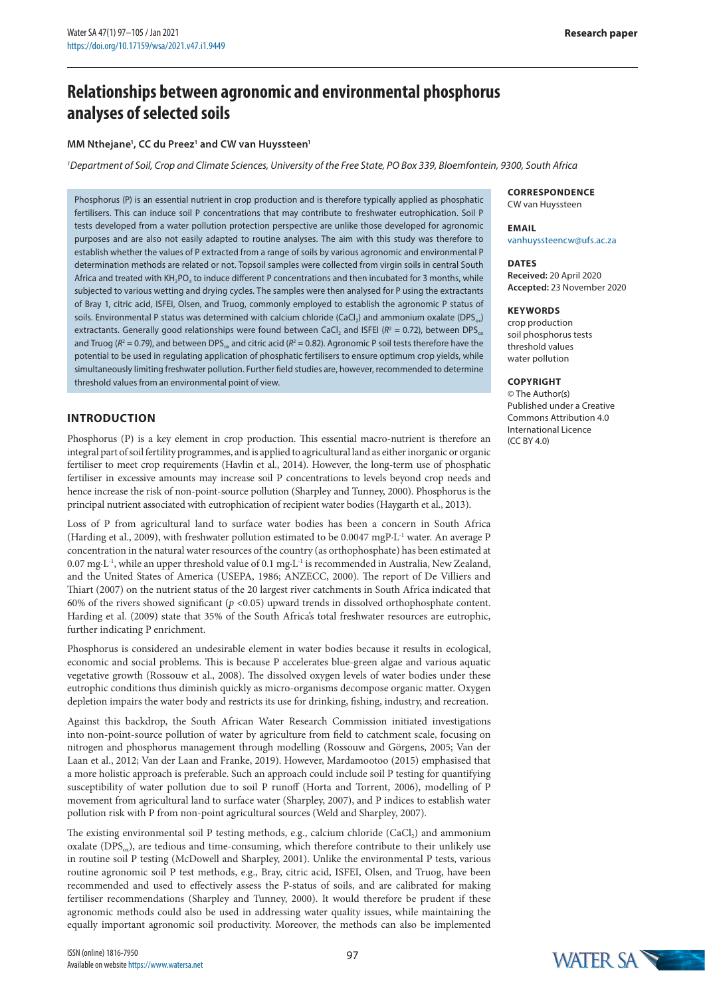# **Relationships between agronomic and environmental phosphorus analyses of selected soils**

### **MM Nthejane1 , CC du Preez1 and CW van Huyssteen1**

*1 Department of Soil, Crop and Climate Sciences, University of the Free State, PO Box 339, Bloemfontein, 9300, South Africa*

Phosphorus (P) is an essential nutrient in crop production and is therefore typically applied as phosphatic fertilisers. This can induce soil P concentrations that may contribute to freshwater eutrophication. Soil P tests developed from a water pollution protection perspective are unlike those developed for agronomic purposes and are also not easily adapted to routine analyses. The aim with this study was therefore to establish whether the values of P extracted from a range of soils by various agronomic and environmental P determination methods are related or not. Topsoil samples were collected from virgin soils in central South Africa and treated with  $KH_2PO_4$  to induce different P concentrations and then incubated for 3 months, while subjected to various wetting and drying cycles. The samples were then analysed for P using the extractants of Bray 1, citric acid, ISFEI, Olsen, and Truog, commonly employed to establish the agronomic P status of soils. Environmental P status was determined with calcium chloride (CaCl<sub>2</sub>) and ammonium oxalate (DPS<sub>ox</sub>) extractants. Generally good relationships were found between CaCl<sub>2</sub> and ISFEI ( $R^2 = 0.72$ ), between DPS<sub>ox</sub> and Truog ( $R^2 = 0.79$ ), and between DPS<sub>ox</sub> and citric acid ( $R^2 = 0.82$ ). Agronomic P soil tests therefore have the potential to be used in regulating application of phosphatic fertilisers to ensure optimum crop yields, while simultaneously limiting freshwater pollution. Further field studies are, however, recommended to determine threshold values from an environmental point of view.

### **INTRODUCTION**

Phosphorus (P) is a key element in crop production. This essential macro-nutrient is therefore an integral part of soil fertility programmes, and is applied to agricultural land as either inorganic or organic fertiliser to meet crop requirements (Havlin et al., 2014). However, the long-term use of phosphatic fertiliser in excessive amounts may increase soil P concentrations to levels beyond crop needs and hence increase the risk of non-point-source pollution (Sharpley and Tunney, 2000). Phosphorus is the principal nutrient associated with eutrophication of recipient water bodies (Haygarth et al., 2013).

Loss of P from agricultural land to surface water bodies has been a concern in South Africa (Harding et al., 2009), with freshwater pollution estimated to be 0.0047 mgP∙L-1 water. An average P concentration in the natural water resources of the country (as orthophosphate) has been estimated at 0.07 mg∙L-1, while an upper threshold value of 0.1 mg∙L-1 is recommended in Australia, New Zealand, and the United States of America (USEPA, 1986; ANZECC, 2000). The report of De Villiers and Thiart (2007) on the nutrient status of the 20 largest river catchments in South Africa indicated that 60% of the rivers showed significant (*p* <0.05) upward trends in dissolved orthophosphate content. Harding et al. (2009) state that 35% of the South Africa's total freshwater resources are eutrophic, further indicating P enrichment.

Phosphorus is considered an undesirable element in water bodies because it results in ecological, economic and social problems. This is because P accelerates blue-green algae and various aquatic vegetative growth (Rossouw et al., 2008). The dissolved oxygen levels of water bodies under these eutrophic conditions thus diminish quickly as micro-organisms decompose organic matter. Oxygen depletion impairs the water body and restricts its use for drinking, fishing, industry, and recreation.

Against this backdrop, the South African Water Research Commission initiated investigations into non-point-source pollution of water by agriculture from field to catchment scale, focusing on nitrogen and phosphorus management through modelling (Rossouw and Görgens, 2005; Van der Laan et al., 2012; Van der Laan and Franke, 2019). However, Mardamootoo (2015) emphasised that a more holistic approach is preferable. Such an approach could include soil P testing for quantifying susceptibility of water pollution due to soil P runoff (Horta and Torrent, 2006), modelling of P movement from agricultural land to surface water (Sharpley, 2007), and P indices to establish water pollution risk with P from non-point agricultural sources (Weld and Sharpley, 2007).

The existing environmental soil P testing methods, e.g., calcium chloride  $(CaCl<sub>2</sub>)$  and ammonium oxalate (DPS<sub> $\alpha$ </sub>), are tedious and time-consuming, which therefore contribute to their unlikely use in routine soil P testing (McDowell and Sharpley, 2001). Unlike the environmental P tests, various routine agronomic soil P test methods, e.g., Bray, citric acid, ISFEI, Olsen, and Truog, have been recommended and used to effectively assess the P-status of soils, and are calibrated for making fertiliser recommendations (Sharpley and Tunney, 2000). It would therefore be prudent if these agronomic methods could also be used in addressing water quality issues, while maintaining the equally important agronomic soil productivity. Moreover, the methods can also be implemented

**CORRESPONDENCE** CW van Huyssteen

**EMAIL** vanhuyssteencw@ufs.ac.za

**DATES**

**Received:** 20 April 2020 **Accepted:** 23 November 2020

### **KEYWORDS**

crop production soil phosphorus tests threshold values water pollution

### **COPYRIGHT**

© The Author(s) Published under a Creative Commons Attribution 4.0 International Licence  $(CC$  BY  $4.0)$ 

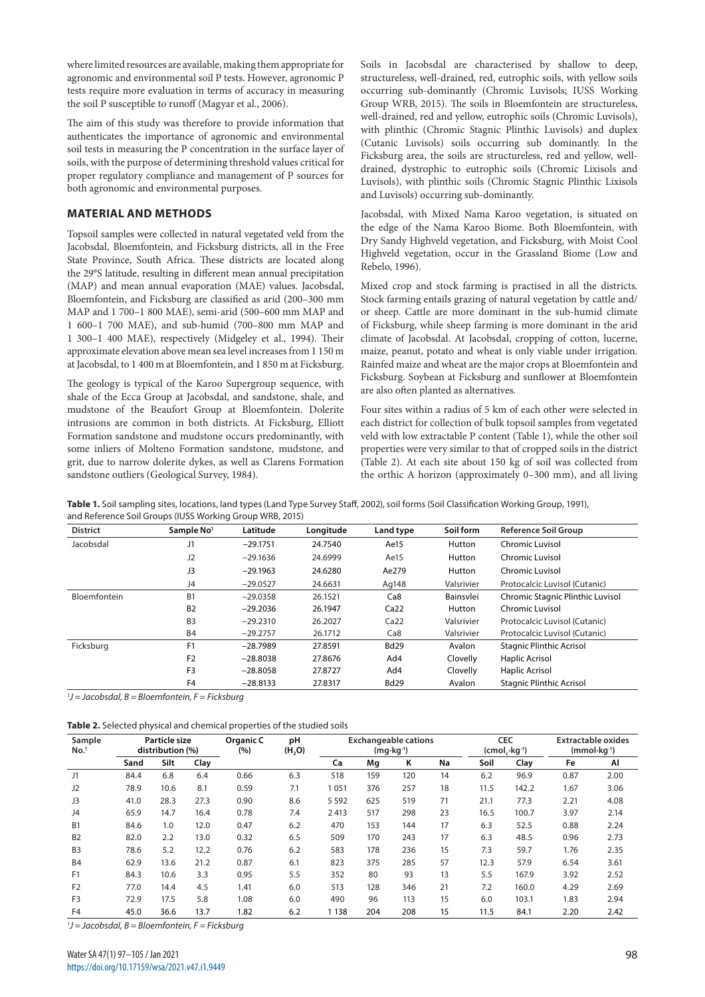where limited resources are available, making them appropriate for agronomic and environmental soil P tests. However, agronomic P tests require more evaluation in terms of accuracy in measuring the soil P susceptible to runoff (Magyar et al., 2006).

The aim of this study was therefore to provide information that authenticates the importance of agronomic and environmental soil tests in measuring the P concentration in the surface layer of soils, with the purpose of determining threshold values critical for proper regulatory compliance and management of P sources for both agronomic and environmental purposes.

# **MATERIAL AND METHODS**

Topsoil samples were collected in natural vegetated veld from the Jacobsdal, Bloemfontein, and Ficksburg districts, all in the Free State Province, South Africa. These districts are located along the 29°S latitude, resulting in different mean annual precipitation (MAP) and mean annual evaporation (MAE) values. Jacobsdal, Bloemfontein, and Ficksburg are classified as arid (200–300 mm MAP and 1 700–1 800 MAE), semi-arid (500–600 mm MAP and 1 600–1 700 MAE), and sub-humid (700–800 mm MAP and 1 300–1 400 MAE), respectively (Midgeley et al., 1994). Their approximate elevation above mean sea level increases from 1 150 m at Jacobsdal, to 1 400 m at Bloemfontein, and 1 850 m at Ficksburg.

The geology is typical of the Karoo Supergroup sequence, with shale of the Ecca Group at Jacobsdal, and sandstone, shale, and mudstone of the Beaufort Group at Bloemfontein. Dolerite intrusions are common in both districts. At Ficksburg, Elliott Formation sandstone and mudstone occurs predominantly, with some inliers of Molteno Formation sandstone, mudstone, and grit, due to narrow dolerite dykes, as well as Clarens Formation sandstone outliers (Geological Survey, 1984).

Soils in Jacobsdal are characterised by shallow to deep, structureless, well-drained, red, eutrophic soils, with yellow soils occurring sub-dominantly (Chromic Luvisols; IUSS Working Group WRB, 2015). The soils in Bloemfontein are structureless, well-drained, red and yellow, eutrophic soils (Chromic Luvisols), with plinthic (Chromic Stagnic Plinthic Luvisols) and duplex (Cutanic Luvisols) soils occurring sub dominantly. In the Ficksburg area, the soils are structureless, red and yellow, welldrained, dystrophic to eutrophic soils (Chromic Lixisols and Luvisols), with plinthic soils (Chromic Stagnic Plinthic Lixisols and Luvisols) occurring sub-dominantly.

Jacobsdal, with Mixed Nama Karoo vegetation, is situated on the edge of the Nama Karoo Biome. Both Bloemfontein, with Dry Sandy Highveld vegetation, and Ficksburg, with Moist Cool Highveld vegetation, occur in the Grassland Biome (Low and Rebelo, 1996).

Mixed crop and stock farming is practised in all the districts. Stock farming entails grazing of natural vegetation by cattle and/ or sheep. Cattle are more dominant in the sub-humid climate of Ficksburg, while sheep farming is more dominant in the arid climate of Jacobsdal. At Jacobsdal, cropping of cotton, lucerne, maize, peanut, potato and wheat is only viable under irrigation. Rainfed maize and wheat are the major crops at Bloemfontein and Ficksburg. Soybean at Ficksburg and sunflower at Bloemfontein are also often planted as alternatives.

Four sites within a radius of 5 km of each other were selected in each district for collection of bulk topsoil samples from vegetated veld with low extractable P content (Table 1), while the other soil properties were very similar to that of cropped soils in the district (Table 2). At each site about 150 kg of soil was collected from the orthic A horizon (approximately 0–300 mm), and all living

| <b>District</b> | Sample No <sup>1</sup> | Latitude   | Longitude | Land type        | Soil form  | <b>Reference Soil Group</b>      |
|-----------------|------------------------|------------|-----------|------------------|------------|----------------------------------|
| Jacobsdal       | J1                     | $-29.1751$ | 24.7540   | Ae15             | Hutton     | Chromic Luvisol                  |
|                 | J2                     | $-29.1636$ | 24.6999   | Ae15             | Hutton     | Chromic Luvisol                  |
|                 | J3                     | $-29.1963$ | 24.6280   | Ae279            | Hutton     | Chromic Luvisol                  |
|                 | J4                     | $-29.0527$ | 24.6631   | Ag148            | Valsrivier | Protocalcic Luvisol (Cutanic)    |
| Bloemfontein    | B <sub>1</sub>         | $-29.0358$ | 26.1521   | Ca8              | Bainsvlei  | Chromic Stagnic Plinthic Luvisol |
|                 | <b>B2</b>              | $-29.2036$ | 26.1947   | Ca <sub>22</sub> | Hutton     | Chromic Luvisol                  |
|                 | B <sub>3</sub>         | $-29.2310$ | 26.2027   | Ca <sub>22</sub> | Valsrivier | Protocalcic Luvisol (Cutanic)    |
|                 | B <sub>4</sub>         | $-29.2757$ | 26.1712   | Ca8              | Valsrivier | Protocalcic Luvisol (Cutanic)    |
| Ficksburg       | F <sub>1</sub>         | $-28.7989$ | 27.8591   | <b>Bd29</b>      | Avalon     | <b>Stagnic Plinthic Acrisol</b>  |
|                 | F <sub>2</sub>         | $-28.8038$ | 27.8676   | Ad4              | Clovelly   | Haplic Acrisol                   |
|                 | F <sub>3</sub>         | $-28.8058$ | 27.8727   | Ad4              | Clovelly   | <b>Haplic Acrisol</b>            |
|                 | F <sub>4</sub>         | $-28.8133$ | 27.8317   | <b>Bd29</b>      | Avalon     | <b>Stagnic Plinthic Acrisol</b>  |

**Table 1.** Soil sampling sites, locations, land types (Land Type Survey Staff, 2002), soil forms (Soil Classification Working Group, 1991), and Reference Soil Groups (IUSS Working Group WRB, 2015)

*1 J = Jacobsdal, B = Bloemfontein, F = Ficksburg*

| Table 2. Selected physical and chemical properties of the studied soils |  |  |  |  |
|-------------------------------------------------------------------------|--|--|--|--|

| Sample<br>No. <sup>1</sup> |      | Particle size<br>distribution (%) |      | Organic C<br>(%) | pH<br>(H <sub>2</sub> O) | <b>Exchangeable cations</b><br>$(mq \cdot kq^{-1})$ |     | <b>CEC</b><br>$(cmol, kq^{-1})$ |    | <b>Extractable oxides</b><br>$(mmol·kg-1)$ |       |      |      |
|----------------------------|------|-----------------------------------|------|------------------|--------------------------|-----------------------------------------------------|-----|---------------------------------|----|--------------------------------------------|-------|------|------|
|                            | Sand | Silt                              | Clay |                  |                          | Ca                                                  | Mq  | Κ                               | Na | Soil                                       | Clay  | Fe   | AI   |
| J1                         | 84.4 | 6.8                               | 6.4  | 0.66             | 6.3                      | 518                                                 | 159 | 120                             | 14 | 6.2                                        | 96.9  | 0.87 | 2.00 |
| J2                         | 78.9 | 10.6                              | 8.1  | 0.59             | 7.1                      | 1 051                                               | 376 | 257                             | 18 | 11.5                                       | 142.2 | 1.67 | 3.06 |
| J3                         | 41.0 | 28.3                              | 27.3 | 0.90             | 8.6                      | 5 5 9 2                                             | 625 | 519                             | 71 | 21.1                                       | 77.3  | 2.21 | 4.08 |
| J4                         | 65.9 | 14.7                              | 16.4 | 0.78             | 7.4                      | 2413                                                | 517 | 298                             | 23 | 16.5                                       | 100.7 | 3.97 | 2.14 |
| <b>B1</b>                  | 84.6 | 1.0                               | 12.0 | 0.47             | 6.2                      | 470                                                 | 153 | 144                             | 17 | 6.3                                        | 52.5  | 0.88 | 2.24 |
| B <sub>2</sub>             | 82.0 | 2.2                               | 13.0 | 0.32             | 6.5                      | 509                                                 | 170 | 243                             | 17 | 6.3                                        | 48.5  | 0.96 | 2.73 |
| B <sub>3</sub>             | 78.6 | 5.2                               | 12.2 | 0.76             | 6.2                      | 583                                                 | 178 | 236                             | 15 | 7.3                                        | 59.7  | 1.76 | 2.35 |
| <b>B4</b>                  | 62.9 | 13.6                              | 21.2 | 0.87             | 6.1                      | 823                                                 | 375 | 285                             | 57 | 12.3                                       | 57.9  | 6.54 | 3.61 |
| F <sub>1</sub>             | 84.3 | 10.6                              | 3.3  | 0.95             | 5.5                      | 352                                                 | 80  | 93                              | 13 | 5.5                                        | 167.9 | 3.92 | 2.52 |
| F <sub>2</sub>             | 77.0 | 14.4                              | 4.5  | 1.41             | 6.0                      | 513                                                 | 128 | 346                             | 21 | 7.2                                        | 160.0 | 4.29 | 2.69 |
| F <sub>3</sub>             | 72.9 | 17.5                              | 5.8  | 1.08             | 6.0                      | 490                                                 | 96  | 113                             | 15 | 6.0                                        | 103.1 | 1.83 | 2.94 |
| F <sub>4</sub>             | 45.0 | 36.6                              | 13.7 | 1.82             | 6.2                      | 138                                                 | 204 | 208                             | 15 | 11.5                                       | 84.1  | 2.20 | 2.42 |

*1 J = Jacobsdal, B = Bloemfontein, F = Ficksburg*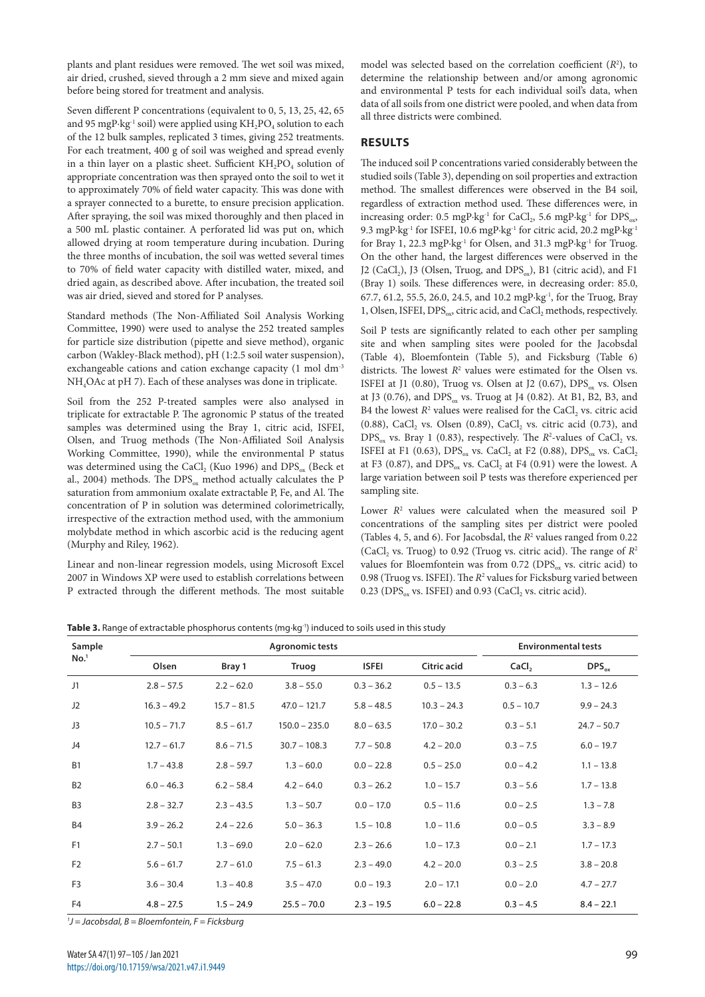plants and plant residues were removed. The wet soil was mixed, air dried, crushed, sieved through a 2 mm sieve and mixed again before being stored for treatment and analysis.

Seven different P concentrations (equivalent to 0, 5, 13, 25, 42, 65 and 95 mgP⋅kg<sup>-1</sup> soil) were applied using KH<sub>2</sub>PO<sub>4</sub> solution to each of the 12 bulk samples, replicated 3 times, giving 252 treatments. For each treatment, 400 g of soil was weighed and spread evenly in a thin layer on a plastic sheet. Sufficient  $KH_2PO_4$  solution of appropriate concentration was then sprayed onto the soil to wet it to approximately 70% of field water capacity. This was done with a sprayer connected to a burette, to ensure precision application. After spraying, the soil was mixed thoroughly and then placed in a 500 mL plastic container. A perforated lid was put on, which allowed drying at room temperature during incubation. During the three months of incubation, the soil was wetted several times to 70% of field water capacity with distilled water, mixed, and dried again, as described above. After incubation, the treated soil was air dried, sieved and stored for P analyses.

Standard methods (The Non-Affiliated Soil Analysis Working Committee, 1990) were used to analyse the 252 treated samples for particle size distribution (pipette and sieve method), organic carbon (Wakley-Black method), pH (1:2.5 soil water suspension), exchangeable cations and cation exchange capacity (1 mol dm<sup>-3</sup> NH4OAc at pH 7). Each of these analyses was done in triplicate.

Soil from the 252 P-treated samples were also analysed in triplicate for extractable P. The agronomic P status of the treated samples was determined using the Bray 1, citric acid, ISFEI, Olsen, and Truog methods (The Non-Affiliated Soil Analysis Working Committee, 1990), while the environmental P status was determined using the CaCl<sub>2</sub> (Kuo 1996) and  $DPS_{ox}$  (Beck et al., 2004) methods. The  $DPS_{\text{ox}}$  method actually calculates the P saturation from ammonium oxalate extractable P, Fe, and Al. The concentration of P in solution was determined colorimetrically, irrespective of the extraction method used, with the ammonium molybdate method in which ascorbic acid is the reducing agent (Murphy and Riley, 1962).

Linear and non-linear regression models, using Microsoft Excel 2007 in Windows XP were used to establish correlations between P extracted through the different methods. The most suitable

model was selected based on the correlation coefficient (*R*<sup>2</sup> ), to determine the relationship between and/or among agronomic and environmental P tests for each individual soil's data, when data of all soils from one district were pooled, and when data from all three districts were combined.

# **RESULTS**

The induced soil P concentrations varied considerably between the studied soils (Table 3), depending on soil properties and extraction method. The smallest differences were observed in the B4 soil, regardless of extraction method used. These differences were, in increasing order: 0.5 mgP⋅kg<sup>-1</sup> for CaCl<sub>2</sub>, 5.6 mgP⋅kg<sup>-1</sup> for DPS<sub>ox</sub>, 9.3 mgP⋅kg<sup>-1</sup> for ISFEI, 10.6 mgP⋅kg<sup>-1</sup> for citric acid, 20.2 mgP⋅kg<sup>-1</sup> for Bray 1, 22.3 mgP∙kg-1 for Olsen, and 31.3 mgP∙kg-1 for Truog. On the other hand, the largest differences were observed in the J2 (CaCl<sub>2</sub>), J3 (Olsen, Truog, and DPS $_{ox}$ ), B1 (citric acid), and F1 (Bray 1) soils. These differences were, in decreasing order: 85.0, 67.7, 61.2, 55.5, 26.0, 24.5, and 10.2 mgP∙kg-1, for the Truog, Bray 1, Olsen, ISFEI, DPS<sub>ox</sub>, citric acid, and CaCl<sub>2</sub> methods, respectively.

Soil P tests are significantly related to each other per sampling site and when sampling sites were pooled for the Jacobsdal (Table 4), Bloemfontein (Table 5), and Ficksburg (Table 6) districts. The lowest  $R^2$  values were estimated for the Olsen vs. ISFEI at J1 (0.80), Truog vs. Olsen at J2 (0.67),  $DPS_{ox}$  vs. Olsen at J3 (0.76), and DPS<sub>ox</sub> vs. Truog at J4 (0.82). At B1, B2, B3, and B4 the lowest  $R^2$  values were realised for the CaCl<sub>2</sub> vs. citric acid  $(0.88)$ , CaCl<sub>2</sub> vs. Olsen  $(0.89)$ , CaCl<sub>2</sub> vs. citric acid  $(0.73)$ , and  $DPS_{ox}$  vs. Bray 1 (0.83), respectively. The  $R^2$ -values of CaCl<sub>2</sub> vs. ISFEI at F1 (0.63), DPS<sub>ox</sub> vs. CaCl<sub>2</sub> at F2 (0.88), DPS<sub>ox</sub> vs. CaCl<sub>2</sub> at F3 (0.87), and DPS<sub>ox</sub> vs. CaCl, at F4 (0.91) were the lowest. A large variation between soil P tests was therefore experienced per sampling site.

Lower  $R^2$  values were calculated when the measured soil  $P$ concentrations of the sampling sites per district were pooled (Tables 4, 5, and 6). For Jacobsdal, the  $R^2$  values ranged from 0.22 (CaCl<sub>2</sub> vs. Truog) to 0.92 (Truog vs. citric acid). The range of  $R^2$ values for Bloemfontein was from  $0.72$  (DPS<sub>ox</sub> vs. citric acid) to 0.98 (Truog vs. ISFEI). The  $R^2$  values for Ficksburg varied between  $0.23$  (DPS<sub>ox</sub> vs. ISFEI) and  $0.93$  (CaCl<sub>2</sub> vs. citric acid).

|  | Table 3. Range of extractable phosphorus contents (mg·kg <sup>-1</sup> ) induced to soils used in this study |  |  |  |  |
|--|--------------------------------------------------------------------------------------------------------------|--|--|--|--|
|  |                                                                                                              |  |  |  |  |

| Sample           |               |               | <b>Environmental tests</b> |              |                    |                   |               |
|------------------|---------------|---------------|----------------------------|--------------|--------------------|-------------------|---------------|
| No. <sup>1</sup> | Olsen         | Bray 1        | Truog                      | <b>ISFEI</b> | <b>Citric acid</b> | CaCl <sub>2</sub> | $DPS_{ox}$    |
| J1               | $2.8 - 57.5$  | $2.2 - 62.0$  | $3.8 - 55.0$               | $0.3 - 36.2$ | $0.5 - 13.5$       | $0.3 - 6.3$       | $1.3 - 12.6$  |
| J2               | $16.3 - 49.2$ | $15.7 - 81.5$ | $47.0 - 121.7$             | $5.8 - 48.5$ | $10.3 - 24.3$      | $0.5 - 10.7$      | $9.9 - 24.3$  |
| J3               | $10.5 - 71.7$ | $8.5 - 61.7$  | $150.0 - 235.0$            | $8.0 - 63.5$ | $17.0 - 30.2$      | $0.3 - 5.1$       | $24.7 - 50.7$ |
| J4               | $12.7 - 61.7$ | $8.6 - 71.5$  | $30.7 - 108.3$             | $7.7 - 50.8$ | $4.2 - 20.0$       | $0.3 - 7.5$       | $6.0 - 19.7$  |
| <b>B1</b>        | $1.7 - 43.8$  | $2.8 - 59.7$  | $1.3 - 60.0$               | $0.0 - 22.8$ | $0.5 - 25.0$       | $0.0 - 4.2$       | $1.1 - 13.8$  |
| B <sub>2</sub>   | $6.0 - 46.3$  | $6.2 - 58.4$  | $4.2 - 64.0$               | $0.3 - 26.2$ | $1.0 - 15.7$       | $0.3 - 5.6$       | $1.7 - 13.8$  |
| B <sub>3</sub>   | $2.8 - 32.7$  | $2.3 - 43.5$  | $1.3 - 50.7$               | $0.0 - 17.0$ | $0.5 - 11.6$       | $0.0 - 2.5$       | $1.3 - 7.8$   |
| <b>B4</b>        | $3.9 - 26.2$  | $2.4 - 22.6$  | $5.0 - 36.3$               | $1.5 - 10.8$ | $1.0 - 11.6$       | $0.0 - 0.5$       | $3.3 - 8.9$   |
| F <sub>1</sub>   | $2.7 - 50.1$  | $1.3 - 69.0$  | $2.0 - 62.0$               | $2.3 - 26.6$ | $1.0 - 17.3$       | $0.0 - 2.1$       | $1.7 - 17.3$  |
| F <sub>2</sub>   | $5.6 - 61.7$  | $2.7 - 61.0$  | $7.5 - 61.3$               | $2.3 - 49.0$ | $4.2 - 20.0$       | $0.3 - 2.5$       | $3.8 - 20.8$  |
| F <sub>3</sub>   | $3.6 - 30.4$  | $1.3 - 40.8$  | $3.5 - 47.0$               | $0.0 - 19.3$ | $2.0 - 17.1$       | $0.0 - 2.0$       | $4.7 - 27.7$  |
| F <sub>4</sub>   | $4.8 - 27.5$  | $1.5 - 24.9$  | $25.5 - 70.0$              | $2.3 - 19.5$ | $6.0 - 22.8$       | $0.3 - 4.5$       | $8.4 - 22.1$  |

*1 J = Jacobsdal, B = Bloemfontein, F = Ficksburg*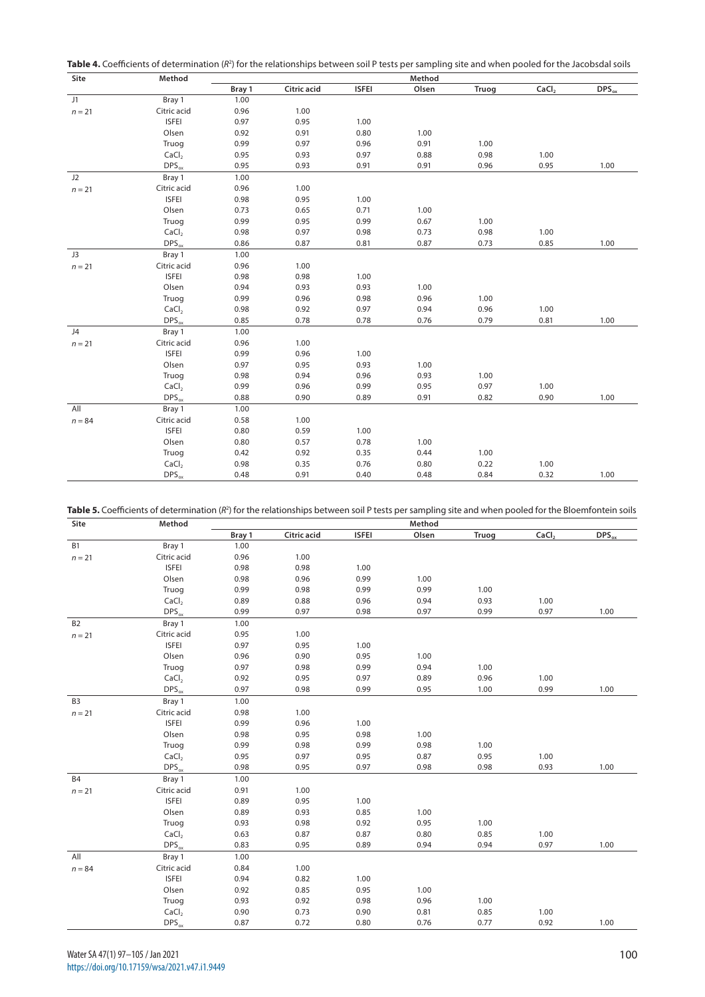**Table 4.** Coefficients of determination (R<sup>2</sup>) for the relationships between soil P tests per sampling site and when pooled for the Jacobsdal soils

| Site     | Method                |        |                    |              | Method |       |                   |            |
|----------|-----------------------|--------|--------------------|--------------|--------|-------|-------------------|------------|
|          |                       | Bray 1 | <b>Citric acid</b> | <b>ISFEI</b> | Olsen  | Truog | CaCl <sub>2</sub> | $DPS_{ox}$ |
| J1       | Bray 1                | 1.00   |                    |              |        |       |                   |            |
| $n = 21$ | Citric acid           | 0.96   | 1.00               |              |        |       |                   |            |
|          | <b>ISFEI</b>          | 0.97   | 0.95               | 1.00         |        |       |                   |            |
|          | Olsen                 | 0.92   | 0.91               | 0.80         | 1.00   |       |                   |            |
|          | Truog                 | 0.99   | 0.97               | 0.96         | 0.91   | 1.00  |                   |            |
|          | CaCl <sub>2</sub>     | 0.95   | 0.93               | 0.97         | 0.88   | 0.98  | 1.00              |            |
|          | $DPS_{ox}$            | 0.95   | 0.93               | 0.91         | 0.91   | 0.96  | 0.95              | 1.00       |
| J2       | Bray 1                | 1.00   |                    |              |        |       |                   |            |
| $n = 21$ | Citric acid           | 0.96   | 1.00               |              |        |       |                   |            |
|          | <b>ISFEI</b>          | 0.98   | 0.95               | 1.00         |        |       |                   |            |
|          | Olsen                 | 0.73   | 0.65               | 0.71         | 1.00   |       |                   |            |
|          | Truog                 | 0.99   | 0.95               | 0.99         | 0.67   | 1.00  |                   |            |
|          | CaCl <sub>2</sub>     | 0.98   | 0.97               | 0.98         | 0.73   | 0.98  | 1.00              |            |
|          | $DPS_{ox}$            | 0.86   | 0.87               | 0.81         | 0.87   | 0.73  | 0.85              | 1.00       |
| J3       | Bray 1                | 1.00   |                    |              |        |       |                   |            |
| $n = 21$ | Citric acid           | 0.96   | 1.00               |              |        |       |                   |            |
|          | <b>ISFEI</b>          | 0.98   | 0.98               | 1.00         |        |       |                   |            |
|          | Olsen                 | 0.94   | 0.93               | 0.93         | 1.00   |       |                   |            |
|          | Truog                 | 0.99   | 0.96               | 0.98         | 0.96   | 1.00  |                   |            |
|          | CaCl <sub>2</sub>     | 0.98   | 0.92               | 0.97         | 0.94   | 0.96  | 1.00              |            |
|          | $\mathsf{DPS}_\infty$ | 0.85   | 0.78               | 0.78         | 0.76   | 0.79  | 0.81              | 1.00       |
| J4       | Bray 1                | 1.00   |                    |              |        |       |                   |            |
| $n = 21$ | Citric acid           | 0.96   | 1.00               |              |        |       |                   |            |
|          | <b>ISFEI</b>          | 0.99   | 0.96               | 1.00         |        |       |                   |            |
|          | Olsen                 | 0.97   | 0.95               | 0.93         | 1.00   |       |                   |            |
|          | Truog                 | 0.98   | 0.94               | 0.96         | 0.93   | 1.00  |                   |            |
|          | CaCl <sub>2</sub>     | 0.99   | 0.96               | 0.99         | 0.95   | 0.97  | 1.00              |            |
|          | $DPS_{ox}$            | 0.88   | 0.90               | 0.89         | 0.91   | 0.82  | 0.90              | 1.00       |
| All      | Bray 1                | 1.00   |                    |              |        |       |                   |            |
| $n = 84$ | Citric acid           | 0.58   | 1.00               |              |        |       |                   |            |
|          | <b>ISFEI</b>          | 0.80   | 0.59               | 1.00         |        |       |                   |            |
|          | Olsen                 | 0.80   | 0.57               | 0.78         | 1.00   |       |                   |            |
|          | Truog                 | 0.42   | 0.92               | 0.35         | 0.44   | 1.00  |                   |            |
|          | CaCl <sub>2</sub>     | 0.98   | 0.35               | 0.76         | 0.80   | 0.22  | 1.00              |            |
|          | $DPS_{ox}$            | 0.48   | 0.91               | 0.40         | 0.48   | 0.84  | 0.32              | 1.00       |

| Table 5. Coefficients of determination (R <sup>2</sup> ) for the relationships between soil P tests per sampling site and when pooled for the Bloemfontein soils |  |
|------------------------------------------------------------------------------------------------------------------------------------------------------------------|--|
|------------------------------------------------------------------------------------------------------------------------------------------------------------------|--|

| Site           | Method            |        |                    |              | Method |       |                   |            |
|----------------|-------------------|--------|--------------------|--------------|--------|-------|-------------------|------------|
|                |                   | Bray 1 | <b>Citric acid</b> | <b>ISFEI</b> | Olsen  | Truog | CaCl <sub>2</sub> | $DPS_{ox}$ |
| <b>B1</b>      | Bray 1            | 1.00   |                    |              |        |       |                   |            |
| $n = 21$       | Citric acid       | 0.96   | 1.00               |              |        |       |                   |            |
|                | <b>ISFEI</b>      | 0.98   | 0.98               | 1.00         |        |       |                   |            |
|                | Olsen             | 0.98   | 0.96               | 0.99         | 1.00   |       |                   |            |
|                | Truog             | 0.99   | 0.98               | 0.99         | 0.99   | 1.00  |                   |            |
|                | CaCl <sub>2</sub> | 0.89   | 0.88               | 0.96         | 0.94   | 0.93  | 1.00              |            |
|                | $DPS_{ox}$        | 0.99   | 0.97               | 0.98         | 0.97   | 0.99  | 0.97              | 1.00       |
| B <sub>2</sub> | Bray 1            | 1.00   |                    |              |        |       |                   |            |
| $n = 21$       | Citric acid       | 0.95   | 1.00               |              |        |       |                   |            |
|                | <b>ISFEI</b>      | 0.97   | 0.95               | 1.00         |        |       |                   |            |
|                | Olsen             | 0.96   | 0.90               | 0.95         | 1.00   |       |                   |            |
|                | Truog             | 0.97   | 0.98               | 0.99         | 0.94   | 1.00  |                   |            |
|                | CaCl <sub>2</sub> | 0.92   | 0.95               | 0.97         | 0.89   | 0.96  | 1.00              |            |
|                | $DPS_{ox}$        | 0.97   | 0.98               | 0.99         | 0.95   | 1.00  | 0.99              | 1.00       |
| B <sub>3</sub> | Bray 1            | 1.00   |                    |              |        |       |                   |            |
| $n = 21$       | Citric acid       | 0.98   | 1.00               |              |        |       |                   |            |
|                | <b>ISFEI</b>      | 0.99   | 0.96               | 1.00         |        |       |                   |            |
|                | Olsen             | 0.98   | 0.95               | 0.98         | 1.00   |       |                   |            |
|                | Truog             | 0.99   | 0.98               | 0.99         | 0.98   | 1.00  |                   |            |
|                | CaCl <sub>2</sub> | 0.95   | 0.97               | 0.95         | 0.87   | 0.95  | 1.00              |            |
|                | $DPS_{ox}$        | 0.98   | 0.95               | 0.97         | 0.98   | 0.98  | 0.93              | 1.00       |
| <b>B4</b>      | Bray 1            | 1.00   |                    |              |        |       |                   |            |
| $n = 21$       | Citric acid       | 0.91   | 1.00               |              |        |       |                   |            |
|                | <b>ISFEI</b>      | 0.89   | 0.95               | 1.00         |        |       |                   |            |
|                | Olsen             | 0.89   | 0.93               | 0.85         | 1.00   |       |                   |            |
|                | Truog             | 0.93   | 0.98               | 0.92         | 0.95   | 1.00  |                   |            |
|                | CaCl <sub>2</sub> | 0.63   | 0.87               | 0.87         | 0.80   | 0.85  | 1.00              |            |
|                | $DPS_{ox}$        | 0.83   | 0.95               | 0.89         | 0.94   | 0.94  | 0.97              | 1.00       |
| All            | Bray 1            | 1.00   |                    |              |        |       |                   |            |
| $n = 84$       | Citric acid       | 0.84   | 1.00               |              |        |       |                   |            |
|                | <b>ISFEI</b>      | 0.94   | 0.82               | 1.00         |        |       |                   |            |
|                | Olsen             | 0.92   | 0.85               | 0.95         | 1.00   |       |                   |            |
|                | Truog             | 0.93   | 0.92               | 0.98         | 0.96   | 1.00  |                   |            |
|                | CaCl <sub>2</sub> | 0.90   | 0.73               | 0.90         | 0.81   | 0.85  | 1.00              |            |
|                | $DPS_{ox}$        | 0.87   | 0.72               | 0.80         | 0.76   | 0.77  | 0.92              | 1.00       |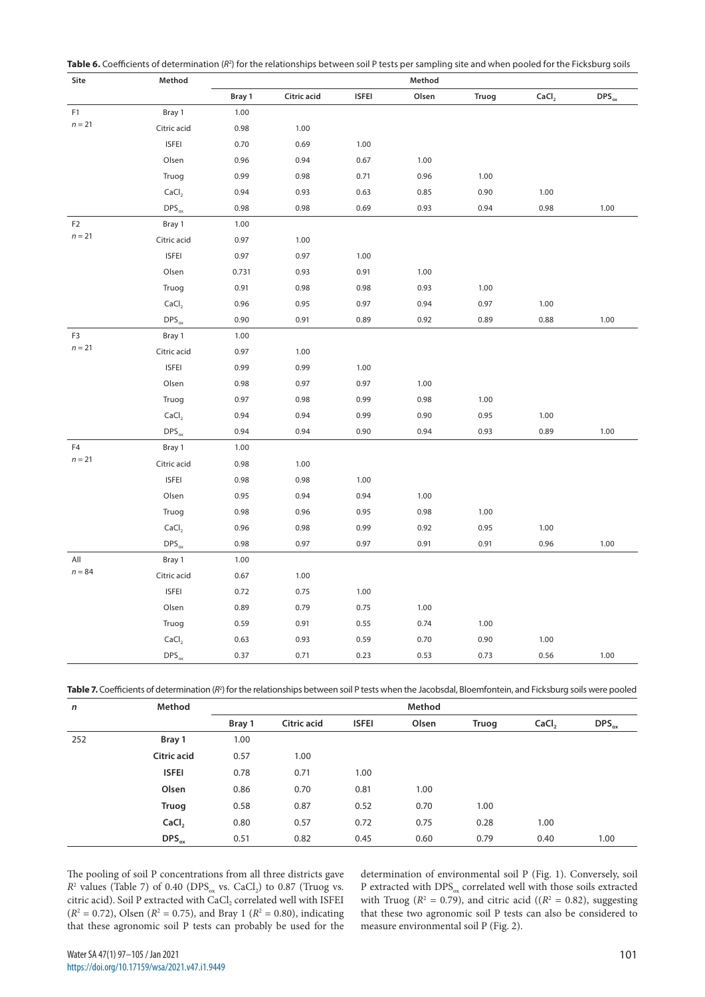|  | Table 6. Coefficients of determination (R <sup>2</sup> ) for the relationships between soil P tests per sampling site and when pooled for the Ficksburg soils |  |  |  |
|--|---------------------------------------------------------------------------------------------------------------------------------------------------------------|--|--|--|
|--|---------------------------------------------------------------------------------------------------------------------------------------------------------------|--|--|--|

| Site           | Method            |        |             |              | Method |       |                   |            |
|----------------|-------------------|--------|-------------|--------------|--------|-------|-------------------|------------|
|                |                   | Bray 1 | Citric acid | <b>ISFEI</b> | Olsen  | Truog | CaCl <sub>2</sub> | $DPS_{ox}$ |
| F <sub>1</sub> | Bray 1            | 1.00   |             |              |        |       |                   |            |
| $n = 21$       | Citric acid       | 0.98   | 1.00        |              |        |       |                   |            |
|                | <b>ISFEI</b>      | 0.70   | 0.69        | 1.00         |        |       |                   |            |
|                | Olsen             | 0.96   | 0.94        | 0.67         | 1.00   |       |                   |            |
|                | Truog             | 0.99   | 0.98        | 0.71         | 0.96   | 1.00  |                   |            |
|                | CaCl <sub>2</sub> | 0.94   | 0.93        | 0.63         | 0.85   | 0.90  | 1.00              |            |
|                | $DPS_{ox}$        | 0.98   | 0.98        | 0.69         | 0.93   | 0.94  | 0.98              | 1.00       |
| F <sub>2</sub> | Bray 1            | 1.00   |             |              |        |       |                   |            |
| $n = 21$       | Citric acid       | 0.97   | 1.00        |              |        |       |                   |            |
|                | <b>ISFEI</b>      | 0.97   | 0.97        | 1.00         |        |       |                   |            |
|                | Olsen             | 0.731  | 0.93        | 0.91         | 1.00   |       |                   |            |
|                | Truog             | 0.91   | 0.98        | 0.98         | 0.93   | 1.00  |                   |            |
|                | CaCl <sub>2</sub> | 0.96   | 0.95        | 0.97         | 0.94   | 0.97  | 1.00              |            |
|                | $DPS_{ox}$        | 0.90   | 0.91        | 0.89         | 0.92   | 0.89  | 0.88              | 1.00       |
| F <sub>3</sub> | Bray 1            | 1.00   |             |              |        |       |                   |            |
| $n = 21$       | Citric acid       | 0.97   | 1.00        |              |        |       |                   |            |
|                | <b>ISFEI</b>      | 0.99   | 0.99        | 1.00         |        |       |                   |            |
|                | Olsen             | 0.98   | 0.97        | 0.97         | 1.00   |       |                   |            |
|                | Truog             | 0.97   | 0.98        | 0.99         | 0.98   | 1.00  |                   |            |
|                | CaCl <sub>2</sub> | 0.94   | 0.94        | 0.99         | 0.90   | 0.95  | 1.00              |            |
|                | $DPS_{ox}$        | 0.94   | 0.94        | 0.90         | 0.94   | 0.93  | 0.89              | 1.00       |
| F4             | Bray 1            | 1.00   |             |              |        |       |                   |            |
| $n = 21$       | Citric acid       | 0.98   | 1.00        |              |        |       |                   |            |
|                | <b>ISFEI</b>      | 0.98   | 0.98        | 1.00         |        |       |                   |            |
|                | Olsen             | 0.95   | 0.94        | 0.94         | 1.00   |       |                   |            |
|                | Truog             | 0.98   | 0.96        | 0.95         | 0.98   | 1.00  |                   |            |
|                | CaCl <sub>2</sub> | 0.96   | 0.98        | 0.99         | 0.92   | 0.95  | 1.00              |            |
|                | $DPS_{ox}$        | 0.98   | 0.97        | 0.97         | 0.91   | 0.91  | 0.96              | 1.00       |
| All            | Bray 1            | 1.00   |             |              |        |       |                   |            |
| $n = 84$       | Citric acid       | 0.67   | 1.00        |              |        |       |                   |            |
|                | <b>ISFEI</b>      | 0.72   | 0.75        | 1.00         |        |       |                   |            |
|                | Olsen             | 0.89   | 0.79        | 0.75         | 1.00   |       |                   |            |
|                | Truog             | 0.59   | 0.91        | 0.55         | 0.74   | 1.00  |                   |            |
|                | CaCl <sub>2</sub> | 0.63   | 0.93        | 0.59         | 0.70   | 0.90  | 1.00              |            |
|                | $DPS_{ox}$        | 0.37   | 0.71        | 0.23         | 0.53   | 0.73  | 0.56              | 1.00       |

Table 7. Coefficients of determination (R<sup>2</sup>) for the relationships between soil P tests when the Jacobsdal, Bloemfontein, and Ficksburg soils were pooled

| $\mathsf{n}$ | Method            |        | Method             |              |       |       |                   |                   |
|--------------|-------------------|--------|--------------------|--------------|-------|-------|-------------------|-------------------|
|              |                   | Bray 1 | <b>Citric acid</b> | <b>ISFEI</b> | Olsen | Truog | CaCl <sub>2</sub> | $\text{DPS}_{ox}$ |
| 252          | Bray 1            | 1.00   |                    |              |       |       |                   |                   |
|              | Citric acid       | 0.57   | 1.00               |              |       |       |                   |                   |
|              | <b>ISFEI</b>      | 0.78   | 0.71               | 1.00         |       |       |                   |                   |
|              | Olsen             | 0.86   | 0.70               | 0.81         | 1.00  |       |                   |                   |
|              | Truog             | 0.58   | 0.87               | 0.52         | 0.70  | 1.00  |                   |                   |
|              | CaCl <sub>2</sub> | 0.80   | 0.57               | 0.72         | 0.75  | 0.28  | 1.00              |                   |
|              | $\text{DPS}_{ox}$ | 0.51   | 0.82               | 0.45         | 0.60  | 0.79  | 0.40              | 1.00              |

The pooling of soil P concentrations from all three districts gave  $R^2$  values (Table 7) of 0.40 (DPS<sub>ox</sub> vs. CaCl<sub>2</sub>) to 0.87 (Truog vs. citric acid). Soil P extracted with CaCl, correlated well with ISFEI  $(R<sup>2</sup> = 0.72)$ , Olsen ( $R<sup>2</sup> = 0.75$ ), and Bray 1 ( $R<sup>2</sup> = 0.80$ ), indicating that these agronomic soil P tests can probably be used for the

determination of environmental soil P (Fig. 1). Conversely, soil P extracted with  $DPS_{ox}$  correlated well with those soils extracted with Truog ( $R^2 = 0.79$ ), and citric acid ( $(R^2 = 0.82)$ , suggesting that these two agronomic soil P tests can also be considered to measure environmental soil P (Fig. 2).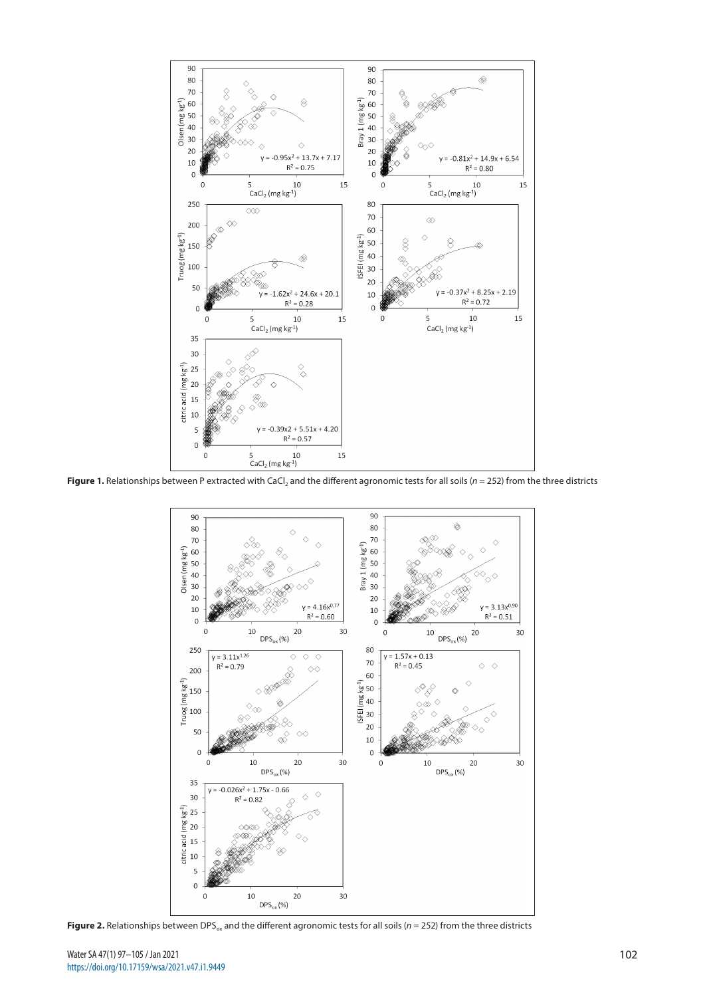

Figure 1. Relationships between P extracted with CaCl<sub>2</sub> and the different agronomic tests for all soils (*n* = 252) from the three districts



**Figure 2.** Relationships between DPS<sub>ox</sub> and the different agronomic tests for all soils ( $n = 252$ ) from the three districts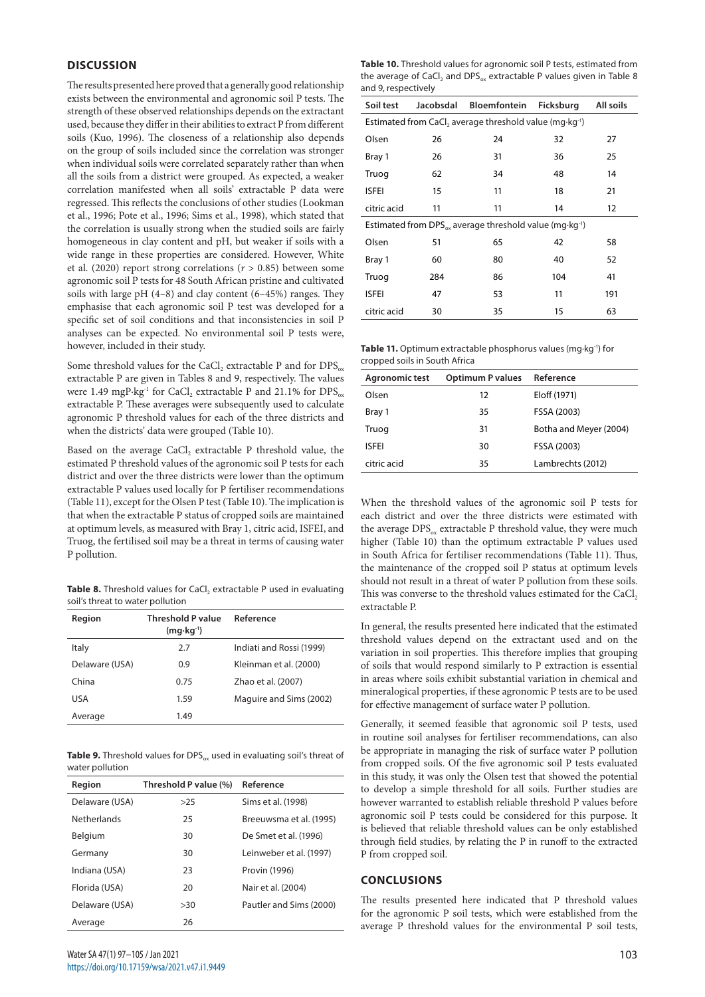## **DISCUSSION**

The results presented here proved that a generally good relationship exists between the environmental and agronomic soil P tests. The strength of these observed relationships depends on the extractant used, because they differ in their abilities to extract P from different soils (Kuo, 1996). The closeness of a relationship also depends on the group of soils included since the correlation was stronger when individual soils were correlated separately rather than when all the soils from a district were grouped. As expected, a weaker correlation manifested when all soils' extractable P data were regressed. This reflects the conclusions of other studies (Lookman et al., 1996; Pote et al., 1996; Sims et al., 1998), which stated that the correlation is usually strong when the studied soils are fairly homogeneous in clay content and pH, but weaker if soils with a wide range in these properties are considered. However, White et al. (2020) report strong correlations ( $r > 0.85$ ) between some agronomic soil P tests for 48 South African pristine and cultivated soils with large pH (4–8) and clay content (6–45%) ranges. They emphasise that each agronomic soil P test was developed for a specific set of soil conditions and that inconsistencies in soil P analyses can be expected. No environmental soil P tests were, however, included in their study.

Some threshold values for the CaCl<sub>2</sub> extractable P and for  $DPS_{ox}$ extractable P are given in Tables 8 and 9, respectively. The values were 1.49 mgP⋅kg<sup>-1</sup> for CaCl<sub>2</sub> extractable P and 21.1% for DPS<sub>ox</sub> extractable P. These averages were subsequently used to calculate agronomic P threshold values for each of the three districts and when the districts' data were grouped (Table 10).

Based on the average CaCl<sub>2</sub> extractable P threshold value, the estimated P threshold values of the agronomic soil P tests for each district and over the three districts were lower than the optimum extractable P values used locally for P fertiliser recommendations (Table 11), except for the Olsen P test (Table 10). The implication is that when the extractable P status of cropped soils are maintained at optimum levels, as measured with Bray 1, citric acid, ISFEI, and Truog, the fertilised soil may be a threat in terms of causing water P pollution.

**Table 8.** Threshold values for CaCl<sub>2</sub> extractable P used in evaluating soil's threat to water pollution

| Region         | <b>Threshold P value</b><br>$(mq \cdot kq^{-1})$ | Reference                |
|----------------|--------------------------------------------------|--------------------------|
| Italy          | 2.7                                              | Indiati and Rossi (1999) |
| Delaware (USA) | 0.9                                              | Kleinman et al. (2000)   |
| China          | 0.75                                             | Zhao et al. (2007)       |
| <b>USA</b>     | 1.59                                             | Maguire and Sims (2002)  |
| Average        | 1.49                                             |                          |

Table 9. Threshold values for DPS<sub>ox</sub> used in evaluating soil's threat of water pollution

| Region             | Threshold P value (%) | Reference               |
|--------------------|-----------------------|-------------------------|
| Delaware (USA)     | >25                   | Sims et al. (1998)      |
| <b>Netherlands</b> | 25                    | Breeuwsma et al. (1995) |
| Belgium            | 30                    | De Smet et al. (1996)   |
| Germany            | 30                    | Leinweber et al. (1997) |
| Indiana (USA)      | 23                    | Provin (1996)           |
| Florida (USA)      | 20                    | Nair et al. (2004)      |
| Delaware (USA)     | >30                   | Pautler and Sims (2000) |
| Average            | 26                    |                         |

| Table 10. Threshold values for agronomic soil P tests, estimated from                             |
|---------------------------------------------------------------------------------------------------|
| the average of CaCl, and DPS <sub><math>\alpha</math></sub> extractable P values given in Table 8 |
| and 9, respectively                                                                               |

| Soil test                                                                       | Jacobsdal | Bloemfontein | <b>Ficksburg</b> | All soils         |  |
|---------------------------------------------------------------------------------|-----------|--------------|------------------|-------------------|--|
| Estimated from CaCl, average threshold value (mg·kg <sup>-1</sup> )             |           |              |                  |                   |  |
| Olsen                                                                           | 26        | 24           | 32               | 27                |  |
| Bray 1                                                                          | 26        | 31           | 36               | 25                |  |
| Truog                                                                           | 62        | 34           | 48               | 14                |  |
| <b>ISFEI</b>                                                                    | 15        | 11           | 18               | 21                |  |
| citric acid                                                                     | 11        | 11           | 14               | $12 \overline{ }$ |  |
| Estimated from DPS <sub>ov</sub> average threshold value (mg·kg <sup>-1</sup> ) |           |              |                  |                   |  |
| Olsen                                                                           | 51        | 65           | 42               | 58                |  |
| Bray 1                                                                          | 60        | 80           | 40               | 52                |  |
| Truog                                                                           | 284       | 86           | 104              | 41                |  |
| <b>ISFEI</b>                                                                    | 47        | 53           | 11               | 191               |  |
| citric acid                                                                     | 30        | 35           | 15               | 63                |  |

| <b>Table 11.</b> Optimum extractable phosphorus values (mg·kg <sup>-1</sup> ) for |
|-----------------------------------------------------------------------------------|
| cropped soils in South Africa                                                     |

| Agronomic test | <b>Optimum P values</b> | Reference              |
|----------------|-------------------------|------------------------|
| Olsen          | 12                      | Eloff (1971)           |
| Bray 1         | 35                      | FSSA (2003)            |
| Truog          | 31                      | Botha and Meyer (2004) |
| <b>ISFFI</b>   | 30                      | FSSA (2003)            |
| citric acid    | 35                      | Lambrechts (2012)      |

When the threshold values of the agronomic soil P tests for each district and over the three districts were estimated with the average  $DPS_{ox}$  extractable P threshold value, they were much higher (Table 10) than the optimum extractable P values used in South Africa for fertiliser recommendations (Table 11). Thus, the maintenance of the cropped soil P status at optimum levels should not result in a threat of water P pollution from these soils. This was converse to the threshold values estimated for the CaCl, extractable P.

In general, the results presented here indicated that the estimated threshold values depend on the extractant used and on the variation in soil properties. This therefore implies that grouping of soils that would respond similarly to P extraction is essential in areas where soils exhibit substantial variation in chemical and mineralogical properties, if these agronomic P tests are to be used for effective management of surface water P pollution.

Generally, it seemed feasible that agronomic soil P tests, used in routine soil analyses for fertiliser recommendations, can also be appropriate in managing the risk of surface water P pollution from cropped soils. Of the five agronomic soil P tests evaluated in this study, it was only the Olsen test that showed the potential to develop a simple threshold for all soils. Further studies are however warranted to establish reliable threshold P values before agronomic soil P tests could be considered for this purpose. It is believed that reliable threshold values can be only established through field studies, by relating the P in runoff to the extracted P from cropped soil.

### **CONCLUSIONS**

The results presented here indicated that P threshold values for the agronomic P soil tests, which were established from the average P threshold values for the environmental P soil tests,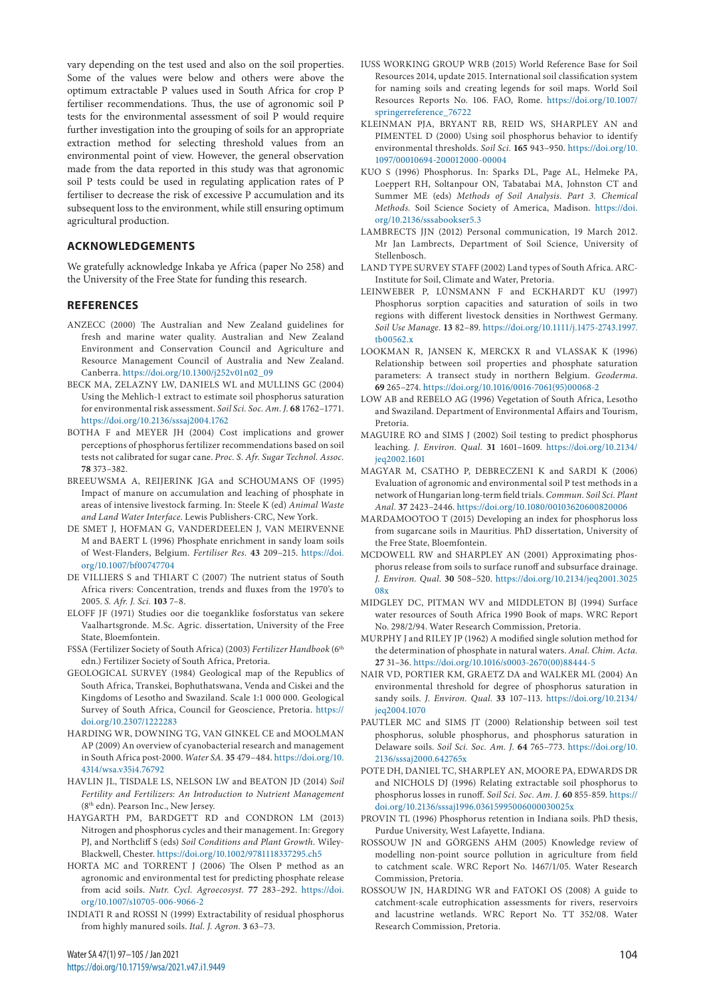vary depending on the test used and also on the soil properties. Some of the values were below and others were above the optimum extractable P values used in South Africa for crop P fertiliser recommendations. Thus, the use of agronomic soil P tests for the environmental assessment of soil P would require further investigation into the grouping of soils for an appropriate extraction method for selecting threshold values from an environmental point of view. However, the general observation made from the data reported in this study was that agronomic soil P tests could be used in regulating application rates of P fertiliser to decrease the risk of excessive P accumulation and its subsequent loss to the environment, while still ensuring optimum agricultural production.

### **ACKNOWLEDGEMENTS**

We gratefully acknowledge Inkaba ye Africa (paper No 258) and the University of the Free State for funding this research.

#### **REFERENCES**

- ANZECC (2000) The Australian and New Zealand guidelines for fresh and marine water quality. Australian and New Zealand Environment and Conservation Council and Agriculture and Resource Management Council of Australia and New Zealand. Canberra. [https://doi.org/10.1300/j252v01n02\\_09](https://doi.org/10.1300/j252v01n02_09)
- BECK MA, ZELAZNY LW, DANIELS WL and MULLINS GC (2004) Using the Mehlich-1 extract to estimate soil phosphorus saturation for environmental risk assessment. *Soil Sci. Soc. Am. J.* **68** 1762–1771. <https://doi.org/10.2136/sssaj2004.1762>
- BOTHA F and MEYER JH (2004) Cost implications and grower perceptions of phosphorus fertilizer recommendations based on soil tests not calibrated for sugar cane. *Proc. S. Afr. Sugar Technol. Assoc.* **78** 373–382.
- BREEUWSMA A, REIJERINK JGA and SCHOUMANS OF (1995) Impact of manure on accumulation and leaching of phosphate in areas of intensive livestock farming. In: Steele K (ed) *Animal Waste and Land Water Interface*. Lewis Publishers-CRC, New York.
- DE SMET J, HOFMAN G, VANDERDEELEN J, VAN MEIRVENNE M and BAERT L (1996) Phosphate enrichment in sandy loam soils of West-Flanders, Belgium. *Fertiliser Res.* **43** 209–215. [https://doi.](https://doi.org/10.1007/bf00747704) [org/10.1007/bf00747704](https://doi.org/10.1007/bf00747704)
- DE VILLIERS S and THIART C (2007) The nutrient status of South Africa rivers: Concentration, trends and fluxes from the 1970's to 2005. *S. Afr. J. Sci.* **103** 7–8.
- ELOFF JF (1971) Studies oor die toeganklike fosforstatus van sekere Vaalhartsgronde. M.Sc. Agric. dissertation, University of the Free State, Bloemfontein.
- FSSA (Fertilizer Society of South Africa) (2003) *Fertilizer Handbook* (6th edn.) Fertilizer Society of South Africa, Pretoria.
- GEOLOGICAL SURVEY (1984) Geological map of the Republics of South Africa, Transkei, Bophuthatswana, Venda and Ciskei and the Kingdoms of Lesotho and Swaziland. Scale 1:1 000 000. Geological Survey of South Africa, Council for Geoscience, Pretoria. [https://](https://doi.org/10.2307/1222283) [doi.org/10.2307/1222283](https://doi.org/10.2307/1222283)
- HARDING WR, DOWNING TG, VAN GINKEL CE and MOOLMAN AP (2009) An overview of cyanobacterial research and management in South Africa post-2000. *Water SA.* **35** 479–484. [https://doi.org/10.](https://doi.org/10.4314/wsa.v35i4.76792) [4314/wsa.v35i4.76792](https://doi.org/10.4314/wsa.v35i4.76792)
- HAVLIN JL, TISDALE LS, NELSON LW and BEATON JD (2014) *Soil Fertility and Fertilizers: An Introduction to Nutrient Management*  (8th edn). Pearson Inc., New Jersey.
- HAYGARTH PM, BARDGETT RD and CONDRON LM (2013) Nitrogen and phosphorus cycles and their management. In: Gregory PJ, and Northcliff S (eds) *Soil Conditions and Plant Growth*. Wiley-Blackwell, Chester. <https://doi.org/10.1002/9781118337295.ch5>
- HORTA MC and TORRENT J (2006) The Olsen P method as an agronomic and environmental test for predicting phosphate release from acid soils. *Nutr. Cycl. Agroecosyst.* **77** 283–292. [https://doi.](https://doi.org/10.1007/s10705-006-9066-2) [org/10.1007/s10705-006-9066-2](https://doi.org/10.1007/s10705-006-9066-2)
- INDIATI R and ROSSI N (1999) Extractability of residual phosphorus from highly manured soils. *Ital. J. Agron.* **3** 63–73.
- IUSS WORKING GROUP WRB (2015) World Reference Base for Soil Resources 2014, update 2015. International soil classification system for naming soils and creating legends for soil maps. World Soil Resources Reports No. 106. FAO, Rome. [https://doi.org/10.1007/](https://doi.org/10.1007/springerreference_76722) [springerreference\\_76722](https://doi.org/10.1007/springerreference_76722)
- KLEINMAN PJA, BRYANT RB, REID WS, SHARPLEY AN and PIMENTEL D (2000) Using soil phosphorus behavior to identify environmental thresholds. *Soil Sci.* **165** 943–950. [https://doi.org/10.](https://doi.org/10.1097/00010694-200012000-00004) [1097/00010694-200012000-00004](https://doi.org/10.1097/00010694-200012000-00004)
- KUO S (1996) Phosphorus. In: Sparks DL, Page AL, Helmeke PA, Loeppert RH, Soltanpour ON, Tabatabai MA, Johnston CT and Summer ME (eds) *Methods of Soil Analysis. Part 3. Chemical Methods.* Soil Science Society of America, Madison. [https://doi.](https://doi.org/10.2136/sssabookser5.3) [org/10.2136/sssabookser5.3](https://doi.org/10.2136/sssabookser5.3)
- LAMBRECTS JJN (2012) Personal communication, 19 March 2012. Mr Jan Lambrects, Department of Soil Science, University of Stellenbosch.
- LAND TYPE SURVEY STAFF (2002) Land types of South Africa. ARC-Institute for Soil, Climate and Water, Pretoria.
- LEINWEBER P, LÜNSMANN F and ECKHARDT KU (1997) Phosphorus sorption capacities and saturation of soils in two regions with different livestock densities in Northwest Germany. *Soil Use Manage.* **13** 82–89. [https://doi.org/10.1111/j.1475-2743.1997.](https://doi.org/10.1111/j.1475-2743.1997.tb00562.x) [tb00562.x](https://doi.org/10.1111/j.1475-2743.1997.tb00562.x)
- LOOKMAN R, JANSEN K, MERCKX R and VLASSAK K (1996) Relationship between soil properties and phosphate saturation parameters: A transect study in northern Belgium. *Geoderma*. **69** 265–274. [https://doi.org/10.1016/0016-7061\(95\)00068-2](https://doi.org/10.1016/0016-7061(95)00068-2)
- LOW AB and REBELO AG (1996) Vegetation of South Africa, Lesotho and Swaziland. Department of Environmental Affairs and Tourism, Pretoria.
- MAGUIRE RO and SIMS J (2002) Soil testing to predict phosphorus leaching. *J. Environ. Qual.* **31** 1601–1609. [https://doi.org/10.2134/](https://doi.org/10.2134/jeq2002.1601) [jeq2002.1601](https://doi.org/10.2134/jeq2002.1601)
- MAGYAR M, CSATHO P, DEBRECZENI K and SARDI K (2006) Evaluation of agronomic and environmental soil P test methods in a network of Hungarian long-term field trials. *Commun. Soil Sci. Plant Anal.* **37** 2423–2446. <https://doi.org/10.1080/00103620600820006>
- MARDAMOOTOO T (2015) Developing an index for phosphorus loss from sugarcane soils in Mauritius. PhD dissertation, University of the Free State, Bloemfontein.
- MCDOWELL RW and SHARPLEY AN (2001) Approximating phosphorus release from soils to surface runoff and subsurface drainage. *J. Environ. Qual.* **30** 508–520. [https://doi.org/10.2134/jeq2001.3025](https://doi.org/10.2134/jeq2001.302508x) [08x](https://doi.org/10.2134/jeq2001.302508x)
- MIDGLEY DC, PITMAN WV and MIDDLETON BJ (1994) Surface water resources of South Africa 1990 Book of maps. WRC Report No. 298/2/94. Water Research Commission, Pretoria.
- MURPHY J and RILEY JP (1962) A modified single solution method for the determination of phosphate in natural waters. *Anal. Chim. Acta.* **27** 31–36. [https://doi.org/10.1016/s0003-2670\(00\)88444-5](https://doi.org/10.1016/s0003-2670(00)88444-5)
- NAIR VD, PORTIER KM, GRAETZ DA and WALKER ML (2004) An environmental threshold for degree of phosphorus saturation in sandy soils. *J. Environ. Qual.* **33** 107–113. [https://doi.org/10.2134/](https://doi.org/10.2134/jeq2004.1070) [jeq2004.1070](https://doi.org/10.2134/jeq2004.1070)
- PAUTLER MC and SIMS JT (2000) Relationship between soil test phosphorus, soluble phosphorus, and phosphorus saturation in Delaware soils. *Soil Sci. Soc. Am. J.* **64** 765–773. [https://doi.org/10.](https://doi.org/10.2136/sssaj2000.642765x) [2136/sssaj2000.642765x](https://doi.org/10.2136/sssaj2000.642765x)
- POTE DH, DANIEL TC, SHARPLEY AN, MOORE PA, EDWARDS DR and NICHOLS DJ (1996) Relating extractable soil phosphorus to phosphorus losses in runoff. *Soil Sci. Soc. Am. J.* **60** 855-859. [https://](https://doi.org/10.2136/sssaj1996.03615995006000030025x) [doi.org/10.2136/sssaj1996.03615995006000030025x](https://doi.org/10.2136/sssaj1996.03615995006000030025x)
- PROVIN TL (1996) Phosphorus retention in Indiana soils. PhD thesis, Purdue University, West Lafayette, Indiana.
- ROSSOUW JN and GÖRGENS AHM (2005) Knowledge review of modelling non-point source pollution in agriculture from field to catchment scale. WRC Report No. 1467/1/05. Water Research Commission, Pretoria.
- ROSSOUW JN, HARDING WR and FATOKI OS (2008) A guide to catchment-scale eutrophication assessments for rivers, reservoirs and lacustrine wetlands. WRC Report No. TT 352/08. Water Research Commission, Pretoria.